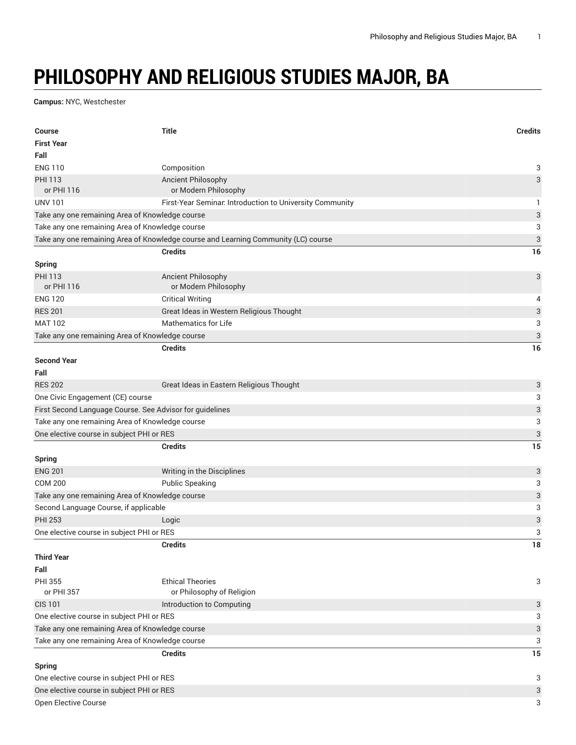## **PHILOSOPHY AND RELIGIOUS STUDIES MAJOR, BA**

**Campus:** NYC, Westchester

| <b>Course</b>                                            | <b>Title</b>                                                                       | <b>Credits</b>            |  |
|----------------------------------------------------------|------------------------------------------------------------------------------------|---------------------------|--|
| <b>First Year</b>                                        |                                                                                    |                           |  |
| Fall                                                     |                                                                                    |                           |  |
| <b>ENG 110</b>                                           | Composition                                                                        | 3                         |  |
| <b>PHI 113</b>                                           | <b>Ancient Philosophy</b>                                                          | $\ensuremath{\mathsf{3}}$ |  |
| or PHI 116                                               | or Modern Philosophy                                                               |                           |  |
| <b>UNV 101</b>                                           | First-Year Seminar. Introduction to University Community                           | 1                         |  |
| Take any one remaining Area of Knowledge course          |                                                                                    | $\sqrt{3}$                |  |
| Take any one remaining Area of Knowledge course          |                                                                                    | 3                         |  |
|                                                          | Take any one remaining Area of Knowledge course and Learning Community (LC) course | 3                         |  |
|                                                          | <b>Credits</b>                                                                     | 16                        |  |
| Spring                                                   |                                                                                    |                           |  |
| <b>PHI 113</b>                                           | <b>Ancient Philosophy</b>                                                          | 3                         |  |
| or PHI 116                                               | or Modern Philosophy                                                               |                           |  |
| <b>ENG 120</b>                                           | <b>Critical Writing</b>                                                            | 4                         |  |
| <b>RES 201</b>                                           | Great Ideas in Western Religious Thought                                           | $\sqrt{3}$                |  |
| <b>MAT 102</b>                                           | Mathematics for Life                                                               | 3                         |  |
| Take any one remaining Area of Knowledge course          |                                                                                    | $\sqrt{3}$                |  |
|                                                          | <b>Credits</b>                                                                     | 16                        |  |
| <b>Second Year</b>                                       |                                                                                    |                           |  |
| Fall                                                     |                                                                                    |                           |  |
| <b>RES 202</b>                                           | Great Ideas in Eastern Religious Thought                                           | 3                         |  |
| One Civic Engagement (CE) course                         |                                                                                    | 3                         |  |
| First Second Language Course. See Advisor for guidelines |                                                                                    | 3                         |  |
| Take any one remaining Area of Knowledge course          |                                                                                    | 3                         |  |
| One elective course in subject PHI or RES                |                                                                                    | 3                         |  |
|                                                          | <b>Credits</b>                                                                     | 15                        |  |
| <b>Spring</b>                                            |                                                                                    |                           |  |
| <b>ENG 201</b>                                           | Writing in the Disciplines                                                         | 3                         |  |
| <b>COM 200</b>                                           | <b>Public Speaking</b>                                                             | 3                         |  |
| Take any one remaining Area of Knowledge course          |                                                                                    | $\ensuremath{\mathsf{3}}$ |  |
| Second Language Course, if applicable                    |                                                                                    | 3                         |  |
| <b>PHI 253</b>                                           | Logic                                                                              | $\ensuremath{\mathsf{3}}$ |  |
| One elective course in subject PHI or RES                |                                                                                    | 3                         |  |
|                                                          | <b>Credits</b>                                                                     | 18                        |  |
| <b>Third Year</b>                                        |                                                                                    |                           |  |
| Fall                                                     |                                                                                    |                           |  |
| <b>PHI 355</b>                                           | <b>Ethical Theories</b>                                                            | 3                         |  |
| or PHI 357                                               | or Philosophy of Religion                                                          |                           |  |
| <b>CIS 101</b>                                           | Introduction to Computing                                                          | 3                         |  |
| One elective course in subject PHI or RES                |                                                                                    | 3                         |  |
| Take any one remaining Area of Knowledge course          |                                                                                    | $\ensuremath{\mathsf{3}}$ |  |
| Take any one remaining Area of Knowledge course          |                                                                                    |                           |  |
|                                                          | <b>Credits</b>                                                                     | 15                        |  |
| <b>Spring</b>                                            |                                                                                    |                           |  |
| One elective course in subject PHI or RES<br>3           |                                                                                    |                           |  |
| One elective course in subject PHI or RES                |                                                                                    | $\sqrt{3}$                |  |
| Open Elective Course                                     |                                                                                    | 3                         |  |